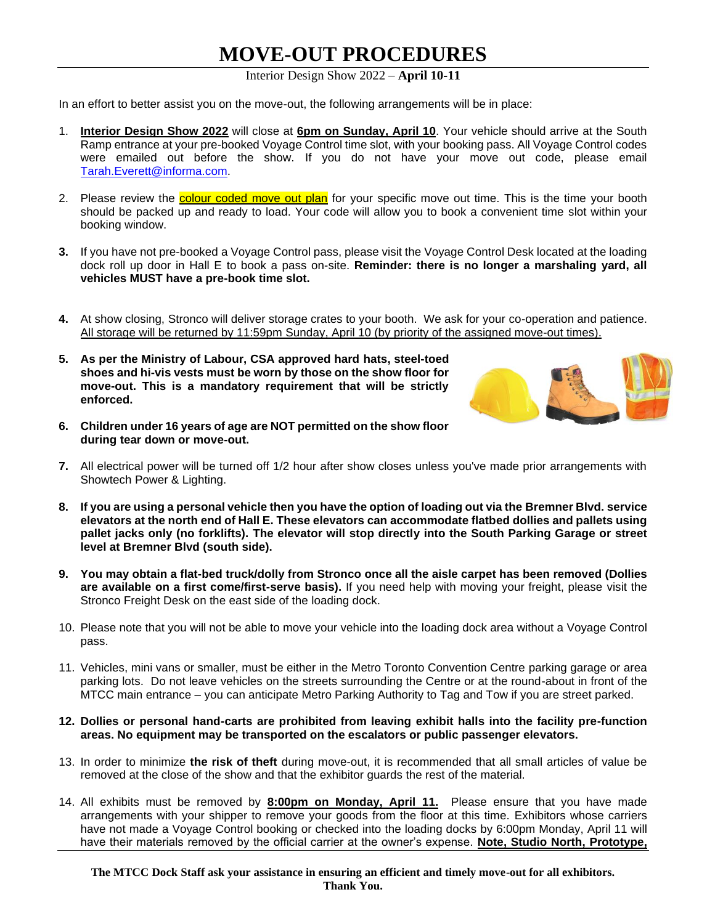# **MOVE-OUT PROCEDURES**

Interior Design Show 2022 – **April 10-11**

In an effort to better assist you on the move-out, the following arrangements will be in place:

- 1. **Interior Design Show 2022** will close at **6pm on Sunday, April 10**. Your vehicle should arrive at the South Ramp entrance at your pre-booked Voyage Control time slot, with your booking pass. All Voyage Control codes were emailed out before the show. If you do not have your move out code, please email [Tarah.Everett@informa.com.](mailto:Tarah.Everett@informa.com)
- 2. Please review the **colour coded move out plan** for your specific move out time. This is the time your booth should be packed up and ready to load. Your code will allow you to book a convenient time slot within your booking window.
- **3.** If you have not pre-booked a Voyage Control pass, please visit the Voyage Control Desk located at the loading dock roll up door in Hall E to book a pass on-site. **Reminder: there is no longer a marshaling yard, all vehicles MUST have a pre-book time slot.**
- **4.** At show closing, Stronco will deliver storage crates to your booth. We ask for your co-operation and patience. All storage will be returned by 11:59pm Sunday, April 10 (by priority of the assigned move-out times).
- **5. As per the Ministry of Labour, CSA approved hard hats, steel-toed shoes and hi-vis vests must be worn by those on the show floor for move-out. This is a mandatory requirement that will be strictly enforced.**



- **6. Children under 16 years of age are NOT permitted on the show floor during tear down or move-out.**
- **7.** All electrical power will be turned off 1/2 hour after show closes unless you've made prior arrangements with Showtech Power & Lighting.
- **8. If you are using a personal vehicle then you have the option of loading out via the Bremner Blvd. service elevators at the north end of Hall E. These elevators can accommodate flatbed dollies and pallets using pallet jacks only (no forklifts). The elevator will stop directly into the South Parking Garage or street level at Bremner Blvd (south side).**
- **9. You may obtain a flat-bed truck/dolly from Stronco once all the aisle carpet has been removed (Dollies are available on a first come/first-serve basis).** If you need help with moving your freight, please visit the Stronco Freight Desk on the east side of the loading dock.
- 10. Please note that you will not be able to move your vehicle into the loading dock area without a Voyage Control pass.
- 11. Vehicles, mini vans or smaller, must be either in the Metro Toronto Convention Centre parking garage or area parking lots. Do not leave vehicles on the streets surrounding the Centre or at the round-about in front of the MTCC main entrance – you can anticipate Metro Parking Authority to Tag and Tow if you are street parked.
- **12. Dollies or personal hand-carts are prohibited from leaving exhibit halls into the facility pre-function areas. No equipment may be transported on the escalators or public passenger elevators.**
- 13. In order to minimize **the risk of theft** during move-out, it is recommended that all small articles of value be removed at the close of the show and that the exhibitor guards the rest of the material.
- 14. All exhibits must be removed by **8:00pm on Monday, April 11.** Please ensure that you have made arrangements with your shipper to remove your goods from the floor at this time. Exhibitors whose carriers have not made a Voyage Control booking or checked into the loading docks by 6:00pm Monday, April 11 will have their materials removed by the official carrier at the owner's expense. **Note, Studio North, Prototype,**

**The MTCC Dock Staff ask your assistance in ensuring an efficient and timely move-out for all exhibitors. Thank You.**